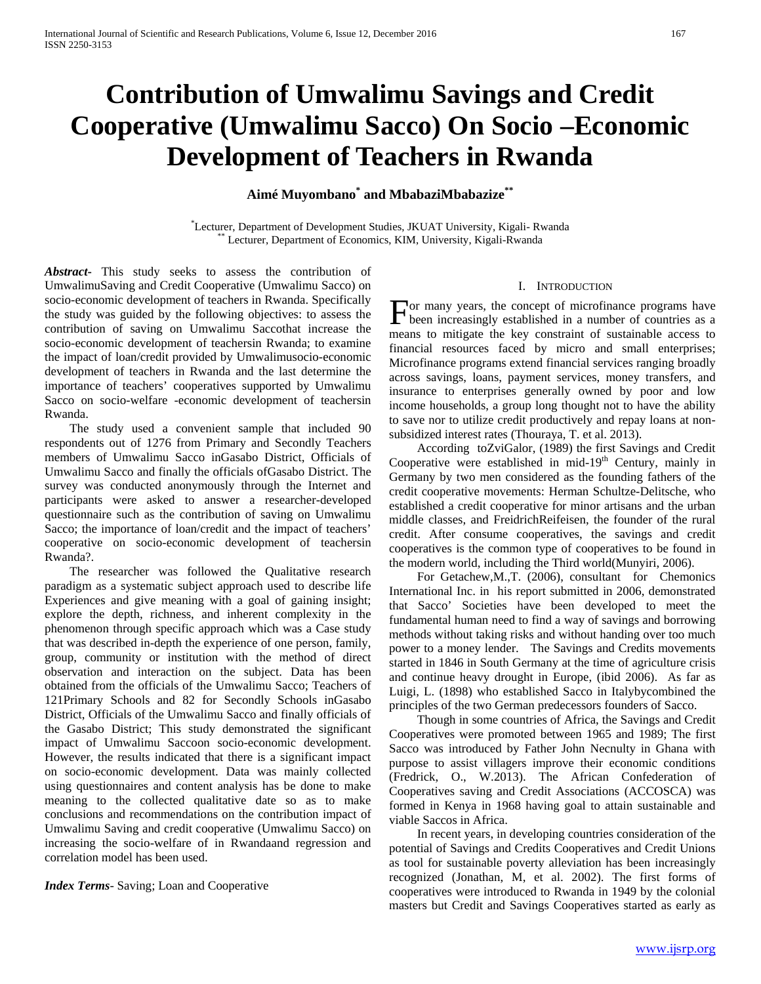# **Contribution of Umwalimu Savings and Credit Cooperative (Umwalimu Sacco) On Socio –Economic Development of Teachers in Rwanda**

**Aimé Muyombano\* and MbabaziMbabazize\*\***

\*Lecturer, Department of Development Studies, JKUAT University, Kigali-Rwanda \*\* Lecturer, Department of Economics, KIM, University, Kigali-Rwanda

*Abstract***-** This study seeks to assess the contribution of UmwalimuSaving and Credit Cooperative (Umwalimu Sacco) on socio-economic development of teachers in Rwanda. Specifically the study was guided by the following objectives: to assess the contribution of saving on Umwalimu Saccothat increase the socio-economic development of teachersin Rwanda; to examine the impact of loan/credit provided by Umwalimusocio-economic development of teachers in Rwanda and the last determine the importance of teachers' cooperatives supported by Umwalimu Sacco on socio-welfare -economic development of teachersin Rwanda.

 The study used a convenient sample that included 90 respondents out of 1276 from Primary and Secondly Teachers members of Umwalimu Sacco inGasabo District, Officials of Umwalimu Sacco and finally the officials ofGasabo District. The survey was conducted anonymously through the Internet and participants were asked to answer a researcher-developed questionnaire such as the contribution of saving on Umwalimu Sacco; the importance of loan/credit and the impact of teachers' cooperative on socio-economic development of teachersin Rwanda?.

 The researcher was followed the Qualitative research paradigm as a systematic subject approach used to describe life Experiences and give meaning with a goal of gaining insight; explore the depth, richness, and inherent complexity in the phenomenon through specific approach which was a Case study that was described in-depth the experience of one person, family, group, community or institution with the method of direct observation and interaction on the subject. Data has been obtained from the officials of the Umwalimu Sacco; Teachers of 121Primary Schools and 82 for Secondly Schools inGasabo District, Officials of the Umwalimu Sacco and finally officials of the Gasabo District; This study demonstrated the significant impact of Umwalimu Saccoon socio-economic development. However, the results indicated that there is a significant impact on socio-economic development. Data was mainly collected using questionnaires and content analysis has be done to make meaning to the collected qualitative date so as to make conclusions and recommendations on the contribution impact of Umwalimu Saving and credit cooperative (Umwalimu Sacco) on increasing the socio-welfare of in Rwandaand regression and correlation model has been used.

*Index Terms*- Saving; Loan and Cooperative

#### I. INTRODUCTION

or many years, the concept of microfinance programs have For many years, the concept of microfinance programs have<br>been increasingly established in a number of countries as a<br> means to mitigate the key constraint of sustainable access to financial resources faced by micro and small enterprises; Microfinance programs extend financial services ranging broadly across savings, loans, payment services, money transfers, and insurance to enterprises generally owned by poor and low income households, a group long thought not to have the ability to save nor to utilize credit productively and repay loans at nonsubsidized interest rates (Thouraya, T. et al. 2013).

 According toZviGalor, (1989) the first Savings and Credit Cooperative were established in mid- $19<sup>th</sup>$  Century, mainly in Germany by two men considered as the founding fathers of the credit cooperative movements: Herman Schultze-Delitsche, who established a credit cooperative for minor artisans and the urban middle classes, and FreidrichReifeisen, the founder of the rural credit. After consume cooperatives, the savings and credit cooperatives is the common type of cooperatives to be found in the modern world, including the Third world(Munyiri, 2006)*.*

 For Getachew,M.,T. (2006), consultant for Chemonics International Inc. in his report submitted in 2006, demonstrated that Sacco' Societies have been developed to meet the fundamental human need to find a way of savings and borrowing methods without taking risks and without handing over too much power to a money lender. The Savings and Credits movements started in 1846 in South Germany at the time of agriculture crisis and continue heavy drought in Europe, (ibid 2006). As far as Luigi, L. (1898) who established Sacco in Italybycombined the principles of the two German predecessors founders of Sacco.

 Though in some countries of Africa, the Savings and Credit Cooperatives were promoted between 1965 and 1989; The first Sacco was introduced by Father John Necnulty in Ghana with purpose to assist villagers improve their economic conditions (Fredrick, O., W.2013). The African Confederation of Cooperatives saving and Credit Associations (ACCOSCA) was formed in Kenya in 1968 having goal to attain sustainable and viable Saccos in Africa.

 In recent years, in developing countries consideration of the potential of Savings and Credits Cooperatives and Credit Unions as tool for sustainable poverty alleviation has been increasingly recognized (Jonathan, M, et al. 2002). The first forms of cooperatives were introduced to Rwanda in 1949 by the colonial masters but Credit and Savings Cooperatives started as early as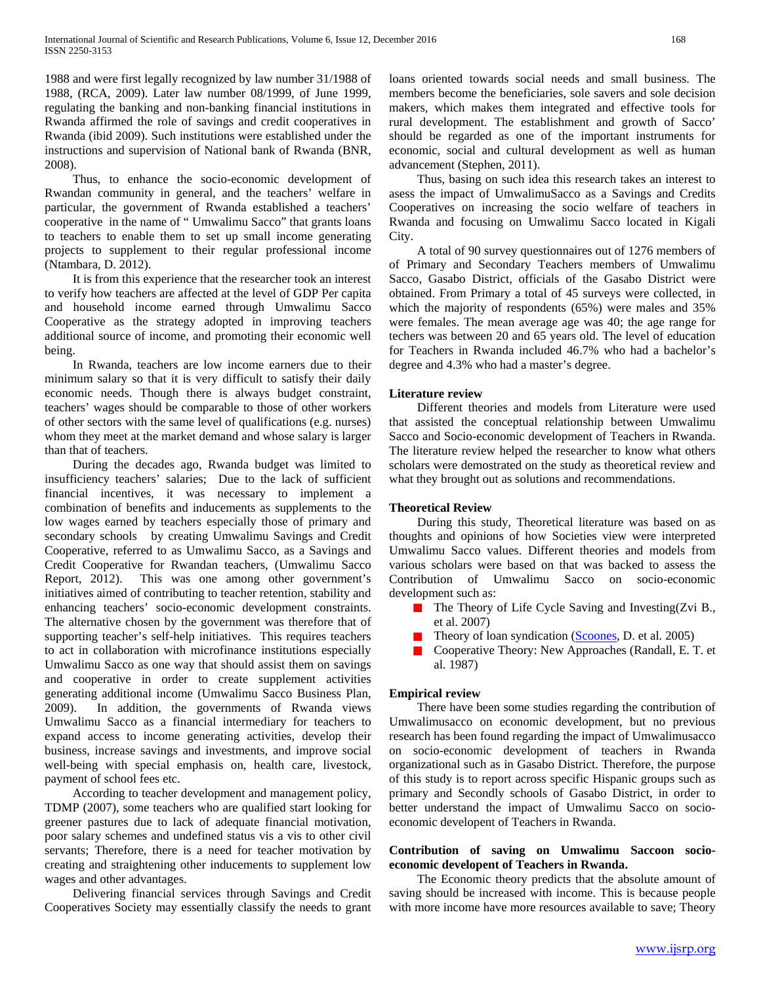1988 and were first legally recognized by law number 31/1988 of 1988, (RCA, 2009). Later law number 08/1999, of June 1999, regulating the banking and non-banking financial institutions in Rwanda affirmed the role of savings and credit cooperatives in Rwanda (ibid 2009). Such institutions were established under the instructions and supervision of National bank of Rwanda (BNR, 2008).

 Thus, to enhance the socio-economic development of Rwandan community in general, and the teachers' welfare in particular, the government of Rwanda established a teachers' cooperative in the name of " Umwalimu Sacco" that grants loans to teachers to enable them to set up small income generating projects to supplement to their regular professional income (Ntambara, D. 2012).

 It is from this experience that the researcher took an interest to verify how teachers are affected at the level of GDP Per capita and household income earned through Umwalimu Sacco Cooperative as the strategy adopted in improving teachers additional source of income, and promoting their economic well being.

 In Rwanda, teachers are low income earners due to their minimum salary so that it is very difficult to satisfy their daily economic needs. Though there is always budget constraint, teachers' wages should be comparable to those of other workers of other sectors with the same level of qualifications (e.g. nurses) whom they meet at the market demand and whose salary is larger than that of teachers.

 During the decades ago, Rwanda budget was limited to insufficiency teachers' salaries; Due to the lack of sufficient financial incentives, it was necessary to implement a combination of benefits and inducements as supplements to the low wages earned by teachers especially those of primary and secondary schools by creating Umwalimu Savings and Credit Cooperative, referred to as Umwalimu Sacco, as a Savings and Credit Cooperative for Rwandan teachers, (Umwalimu Sacco Report, 2012). This was one among other government's initiatives aimed of contributing to teacher retention, stability and enhancing teachers' socio-economic development constraints. The alternative chosen by the government was therefore that of supporting teacher's self-help initiatives. This requires teachers to act in collaboration with microfinance institutions especially Umwalimu Sacco as one way that should assist them on savings and cooperative in order to create supplement activities generating additional income (Umwalimu Sacco Business Plan, 2009). In addition, the governments of Rwanda views Umwalimu Sacco as a financial intermediary for teachers to expand access to income generating activities, develop their business, increase savings and investments, and improve social well-being with special emphasis on, health care, livestock, payment of school fees etc.

 According to teacher development and management policy, TDMP (2007), some teachers who are qualified start looking for greener pastures due to lack of adequate financial motivation, poor salary schemes and undefined status vis a vis to other civil servants; Therefore, there is a need for teacher motivation by creating and straightening other inducements to supplement low wages and other advantages.

 Delivering financial services through Savings and Credit Cooperatives Society may essentially classify the needs to grant loans oriented towards social needs and small business. The members become the beneficiaries, sole savers and sole decision makers, which makes them integrated and effective tools for rural development. The establishment and growth of Sacco' should be regarded as one of the important instruments for economic, social and cultural development as well as human advancement (Stephen, 2011).

 Thus, basing on such idea this research takes an interest to asess the impact of UmwalimuSacco as a Savings and Credits Cooperatives on increasing the socio welfare of teachers in Rwanda and focusing on Umwalimu Sacco located in Kigali City.

 A total of 90 survey questionnaires out of 1276 members of of Primary and Secondary Teachers members of Umwalimu Sacco, Gasabo District, officials of the Gasabo District were obtained. From Primary a total of 45 surveys were collected, in which the majority of respondents (65%) were males and 35% were females. The mean average age was 40; the age range for techers was between 20 and 65 years old. The level of education for Teachers in Rwanda included 46.7% who had a bachelor's degree and 4.3% who had a master's degree.

#### **Literature review**

 Different theories and models from Literature were used that assisted the conceptual relationship between Umwalimu Sacco and Socio-economic development of Teachers in Rwanda. The literature review helped the researcher to know what others scholars were demostrated on the study as theoretical review and what they brought out as solutions and recommendations.

## **Theoretical Review**

 During this study, Theoretical literature was based on as thoughts and opinions of how Societies view were interpreted Umwalimu Sacco values. Different theories and models from various scholars were based on that was backed to assess the Contribution of Umwalimu Sacco on socio-economic development such as:

- **The Theory of Life Cycle Saving and Investing(Zvi B.,** et al. 2007)
- Theory of loan syndication [\(Scoones,](http://www.sciencedirect.com/science/article/pii/S1544612305000267) D. et al. 2005)
- **Cooperative Theory: New Approaches (Randall, E. T. et** al. 1987)

## **Empirical review**

 There have been some studies regarding the contribution of Umwalimusacco on economic development, but no previous research has been found regarding the impact of Umwalimusacco on socio-economic development of teachers in Rwanda organizational such as in Gasabo District. Therefore, the purpose of this study is to report across specific Hispanic groups such as primary and Secondly schools of Gasabo District, in order to better understand the impact of Umwalimu Sacco on socioeconomic developent of Teachers in Rwanda.

## **Contribution of saving on Umwalimu Saccoon socioeconomic developent of Teachers in Rwanda.**

 The Economic theory predicts that the absolute amount of saving should be increased with income. This is because people with more income have more resources available to save; Theory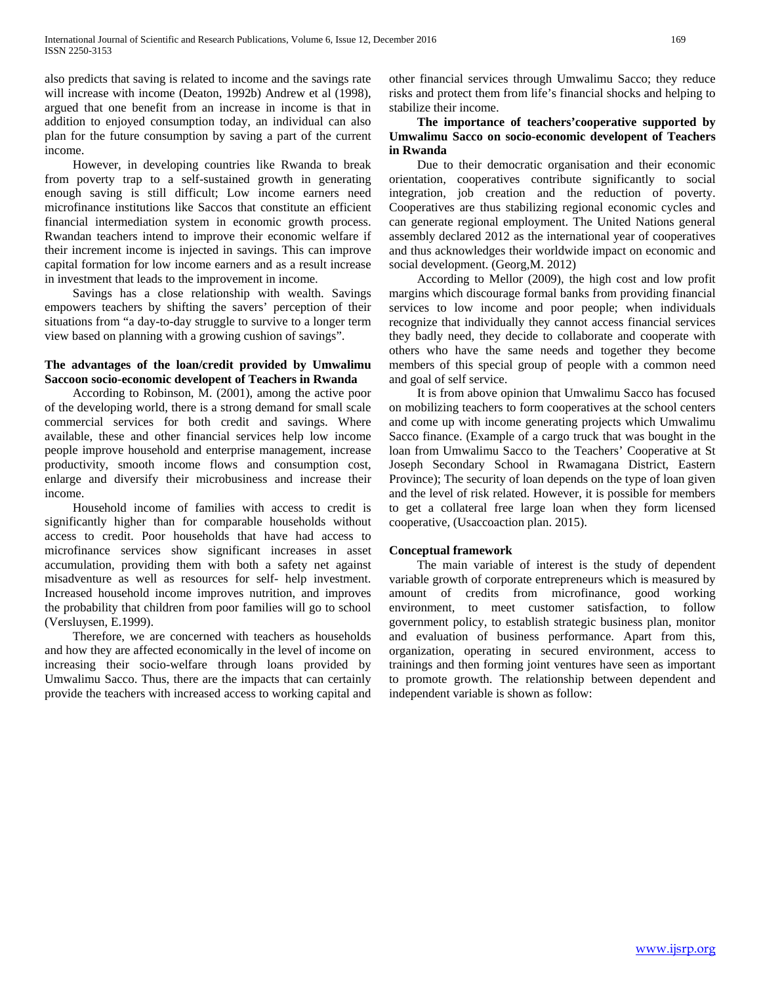also predicts that saving is related to income and the savings rate will increase with income (Deaton, 1992b) Andrew et al (1998), argued that one benefit from an increase in income is that in addition to enjoyed consumption today, an individual can also plan for the future consumption by saving a part of the current income.

 However, in developing countries like Rwanda to break from poverty trap to a self-sustained growth in generating enough saving is still difficult; Low income earners need microfinance institutions like Saccos that constitute an efficient financial intermediation system in economic growth process. Rwandan teachers intend to improve their economic welfare if their increment income is injected in savings. This can improve capital formation for low income earners and as a result increase in investment that leads to the improvement in income.

 Savings has a close relationship with wealth. Savings empowers teachers by shifting the savers' perception of their situations from "a day-to-day struggle to survive to a longer term view based on planning with a growing cushion of savings".

# **The advantages of the loan/credit provided by Umwalimu Saccoon socio-economic developent of Teachers in Rwanda**

 According to Robinson, M. (2001), among the active poor of the developing world, there is a strong demand for small scale commercial services for both credit and savings. Where available, these and other financial services help low income people improve household and enterprise management, increase productivity, smooth income flows and consumption cost, enlarge and diversify their microbusiness and increase their income.

 Household income of families with access to credit is significantly higher than for comparable households without access to credit. Poor households that have had access to microfinance services show significant increases in asset accumulation, providing them with both a safety net against misadventure as well as resources for self- help investment. Increased household income improves nutrition, and improves the probability that children from poor families will go to school (Versluysen, E.1999).

 Therefore, we are concerned with teachers as households and how they are affected economically in the level of income on increasing their socio-welfare through loans provided by Umwalimu Sacco. Thus, there are the impacts that can certainly provide the teachers with increased access to working capital and other financial services through Umwalimu Sacco; they reduce risks and protect them from life's financial shocks and helping to stabilize their income.

# **The importance of teachers'cooperative supported by Umwalimu Sacco on socio-economic developent of Teachers in Rwanda**

 Due to their democratic organisation and their economic orientation, cooperatives contribute significantly to social integration, job creation and the reduction of poverty. Cooperatives are thus stabilizing regional economic cycles and can generate regional employment. The United Nations general assembly declared 2012 as the international year of cooperatives and thus acknowledges their worldwide impact on economic and social development. (Georg,M. 2012)

 According to Mellor (2009), the high cost and low profit margins which discourage formal banks from providing financial services to low income and poor people; when individuals recognize that individually they cannot access financial services they badly need, they decide to collaborate and cooperate with others who have the same needs and together they become members of this special group of people with a common need and goal of self service.

 It is from above opinion that Umwalimu Sacco has focused on mobilizing teachers to form cooperatives at the school centers and come up with income generating projects which Umwalimu Sacco finance. (Example of a cargo truck that was bought in the loan from Umwalimu Sacco to the Teachers' Cooperative at St Joseph Secondary School in Rwamagana District, Eastern Province); The security of loan depends on the type of loan given and the level of risk related. However, it is possible for members to get a collateral free large loan when they form licensed cooperative, (Usaccoaction plan. 2015).

## **Conceptual framework**

 The main variable of interest is the study of dependent variable growth of corporate entrepreneurs which is measured by amount of credits from microfinance, good working environment, to meet customer satisfaction, to follow government policy, to establish strategic business plan, monitor and evaluation of business performance. Apart from this, organization, operating in secured environment, access to trainings and then forming joint ventures have seen as important to promote growth. The relationship between dependent and independent variable is shown as follow: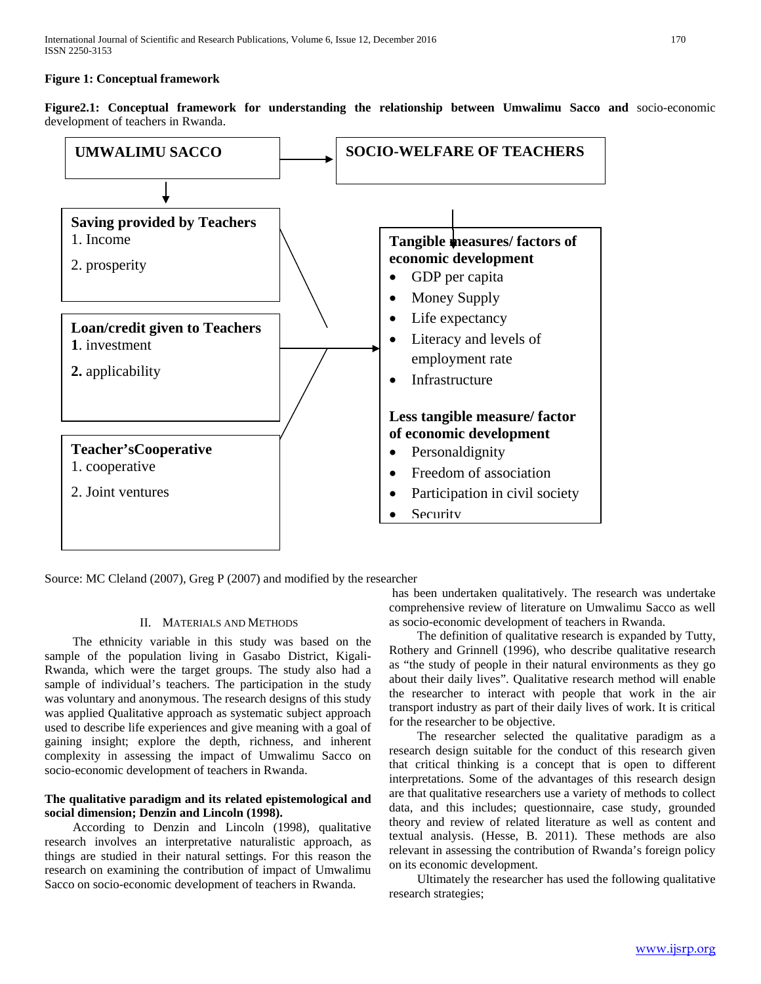#### **Figure 1: Conceptual framework**

**Figure2.1: Conceptual framework for understanding the relationship between Umwalimu Sacco and** socio-economic development of teachers in Rwanda.



Source: MC Cleland (2007), Greg P (2007) and modified by the researcher

## II. MATERIALS AND METHODS

 The ethnicity variable in this study was based on the sample of the population living in Gasabo District, Kigali-Rwanda, which were the target groups. The study also had a sample of individual's teachers. The participation in the study was voluntary and anonymous. The research designs of this study was applied Qualitative approach as systematic subject approach used to describe life experiences and give meaning with a goal of gaining insight; explore the depth, richness, and inherent complexity in assessing the impact of Umwalimu Sacco on socio-economic development of teachers in Rwanda.

# **The qualitative paradigm and its related epistemological and social dimension; Denzin and Lincoln (1998).**

 According to Denzin and Lincoln (1998), qualitative research involves an interpretative naturalistic approach, as things are studied in their natural settings. For this reason the research on examining the contribution of impact of Umwalimu Sacco on socio-economic development of teachers in Rwanda.

has been undertaken qualitatively. The research was undertake comprehensive review of literature on Umwalimu Sacco as well as socio-economic development of teachers in Rwanda.

 The definition of qualitative research is expanded by Tutty, Rothery and Grinnell (1996), who describe qualitative research as "the study of people in their natural environments as they go about their daily lives". Qualitative research method will enable the researcher to interact with people that work in the air transport industry as part of their daily lives of work. It is critical for the researcher to be objective.

 The researcher selected the qualitative paradigm as a research design suitable for the conduct of this research given that critical thinking is a concept that is open to different interpretations. Some of the advantages of this research design are that qualitative researchers use a variety of methods to collect data, and this includes; questionnaire, case study, grounded theory and review of related literature as well as content and textual analysis. (Hesse, B. 2011). These methods are also relevant in assessing the contribution of Rwanda's foreign policy on its economic development.

 Ultimately the researcher has used the following qualitative research strategies;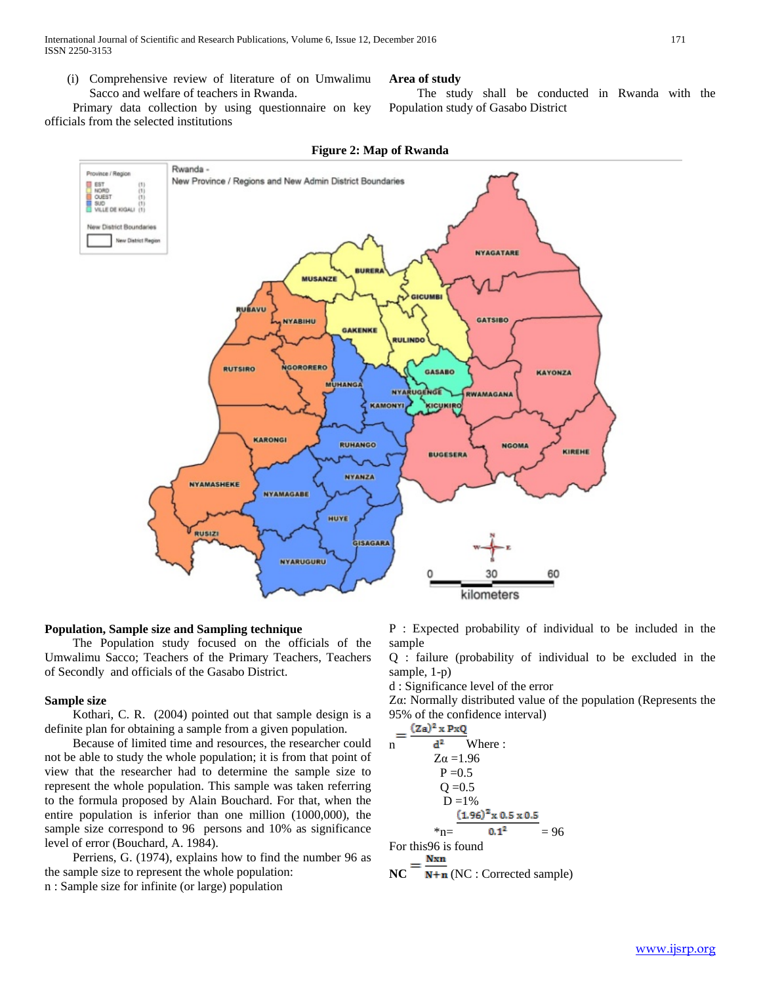(i) Comprehensive review of literature of on Umwalimu Sacco and welfare of teachers in Rwanda.

 Primary data collection by using questionnaire on key officials from the selected institutions



**RUHANGO** 

NYANZA

**ISAGARA** 

HUYE

#### **Figure 2: Map of Rwanda**

**Area of study**

Population study of Gasabo District

# **Population, Sample size and Sampling technique**

 The Population study focused on the officials of the Umwalimu Sacco; Teachers of the Primary Teachers, Teachers of Secondly and officials of the Gasabo District.

**NYAMASHEKE** 

**RUSIZ** 

**KARONGI** 

**NYAMAGABE** 

**NYARUGURU** 

#### **Sample size**

 Kothari, C. R. (2004) pointed out that sample design is a definite plan for obtaining a sample from a given population.

 Because of limited time and resources, the researcher could not be able to study the whole population; it is from that point of view that the researcher had to determine the sample size to represent the whole population. This sample was taken referring to the formula proposed by Alain Bouchard. For that, when the entire population is inferior than one million (1000,000), the sample size correspond to 96 persons and 10% as significance level of error (Bouchard, A. 1984).

 Perriens, G. (1974), explains how to find the number 96 as the sample size to represent the whole population:

n : Sample size for infinite (or large) population

P : Expected probability of individual to be included in the sample

60

KIREHE

**NGOM/** 

**BUGESERA** 

The study shall be conducted in Rwanda with the

Q : failure (probability of individual to be excluded in the sample, 1-p)

d : Significance level of the error

30

kilometers

Zα: Normally distributed value of the population (Represents the 95% of the confidence interval)

$$
n = \frac{(2a)^2 \times P \times Q}{d^2}
$$
 Where :  
\n
$$
Z\alpha = 1.96
$$
  
\nP = 0.5  
\nQ = 0.5  
\nD = 1%  
\n
$$
\frac{(1.96)^2 \times 0.5 \times 0.5}{4 \times 0.5 \times 0.5 \times 0.5} = 96
$$
  
\nFor this96 is found

Nxm  $NC$   $\overline{N+n}$  (NC : Corrected sample)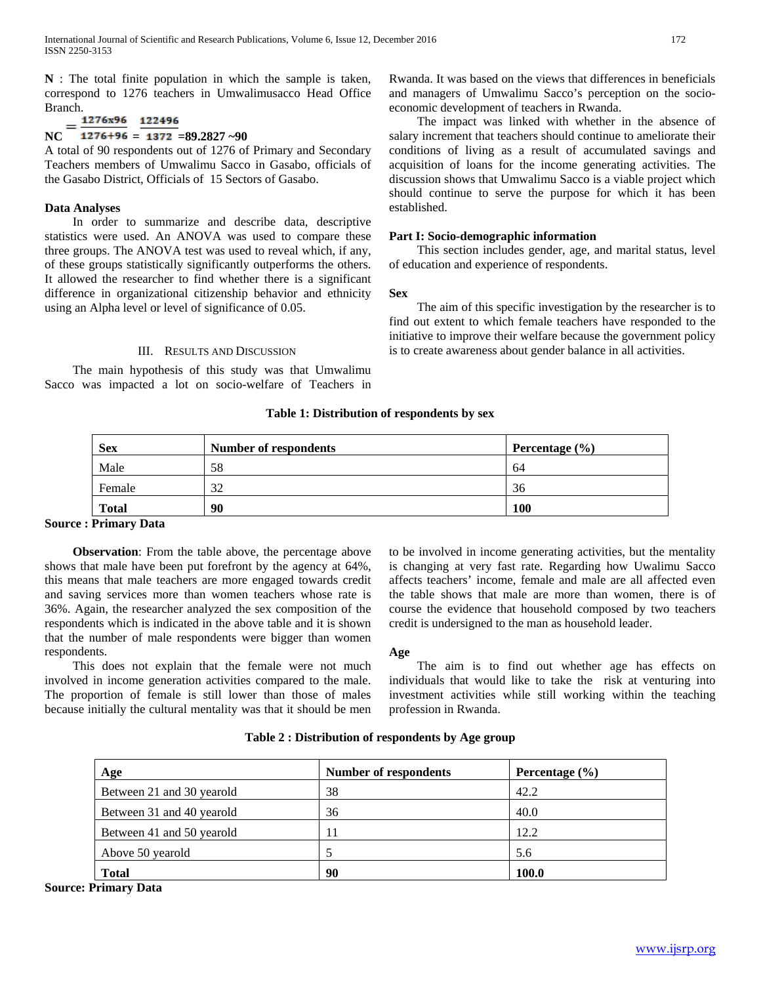**N** : The total finite population in which the sample is taken, correspond to 1276 teachers in Umwalimusacco Head Office Branch.

# 1276x96 122496  $NC = \frac{1276+96}{1276+96} = \frac{122756}{1372} = 89.2827$

A total of 90 respondents out of 1276 of Primary and Secondary Teachers members of Umwalimu Sacco in Gasabo, officials of the Gasabo District, Officials of 15 Sectors of Gasabo.

## **Data Analyses**

 In order to summarize and describe data, descriptive statistics were used. An ANOVA was used to compare these three groups. The ANOVA test was used to reveal which, if any, of these groups statistically significantly outperforms the others. It allowed the researcher to find whether there is a significant difference in organizational citizenship behavior and ethnicity using an Alpha level or level of significance of 0.05.

## III. RESULTS AND DISCUSSION

 The main hypothesis of this study was that Umwalimu Sacco was impacted a lot on socio-welfare of Teachers in Rwanda. It was based on the views that differences in beneficials and managers of Umwalimu Sacco's perception on the socioeconomic development of teachers in Rwanda.

 The impact was linked with whether in the absence of salary increment that teachers should continue to ameliorate their conditions of living as a result of accumulated savings and acquisition of loans for the income generating activities. The discussion shows that Umwalimu Sacco is a viable project which should continue to serve the purpose for which it has been established.

# **Part I: Socio-demographic information**

 This section includes gender, age, and marital status, level of education and experience of respondents.

## **Sex**

 The aim of this specific investigation by the researcher is to find out extent to which female teachers have responded to the initiative to improve their welfare because the government policy is to create awareness about gender balance in all activities.

# **Table 1: Distribution of respondents by sex**

| <b>Sex</b>   | <b>Number of respondents</b> | Percentage $(\% )$ |
|--------------|------------------------------|--------------------|
| Male         | 58                           | 64                 |
| Female       | 32                           | 36                 |
| <b>Total</b> | 90                           | <b>100</b>         |

# **Source : Primary Data**

 **Observation**: From the table above, the percentage above shows that male have been put forefront by the agency at 64%, this means that male teachers are more engaged towards credit and saving services more than women teachers whose rate is 36%. Again, the researcher analyzed the sex composition of the respondents which is indicated in the above table and it is shown that the number of male respondents were bigger than women respondents.

 This does not explain that the female were not much involved in income generation activities compared to the male. The proportion of female is still lower than those of males because initially the cultural mentality was that it should be men

to be involved in income generating activities, but the mentality is changing at very fast rate. Regarding how Uwalimu Sacco affects teachers' income, female and male are all affected even the table shows that male are more than women, there is of course the evidence that household composed by two teachers credit is undersigned to the man as household leader.

## **Age**

 The aim is to find out whether age has effects on individuals that would like to take the risk at venturing into investment activities while still working within the teaching profession in Rwanda.

| Age                       | <b>Number of respondents</b> | Percentage $(\% )$ |
|---------------------------|------------------------------|--------------------|
| Between 21 and 30 yearold | 38                           | 42.2               |
| Between 31 and 40 yearold | 36                           | 40.0               |
| Between 41 and 50 yearold |                              | 12.2               |
| Above 50 yearold          |                              | 5.6                |
| <b>Total</b>              | 90                           | 100.0              |

## **Table 2 : Distribution of respondents by Age group**

**Source: Primary Data**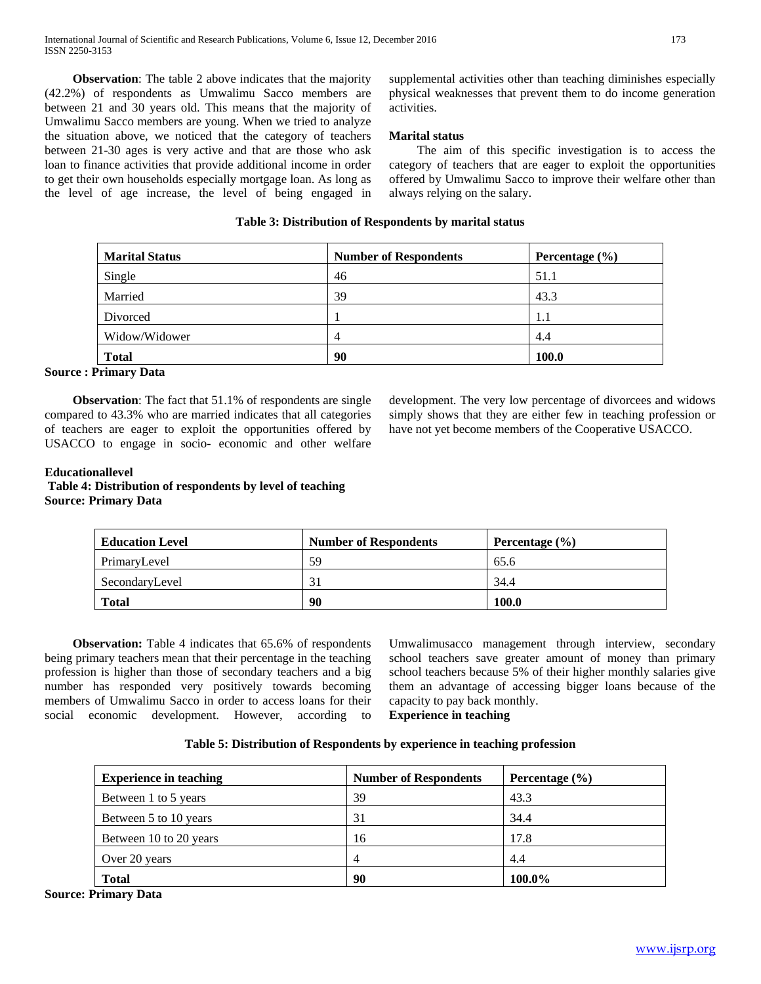**Observation**: The table 2 above indicates that the majority (42.2%) of respondents as Umwalimu Sacco members are between 21 and 30 years old. This means that the majority of Umwalimu Sacco members are young. When we tried to analyze the situation above, we noticed that the category of teachers between 21-30 ages is very active and that are those who ask loan to finance activities that provide additional income in order to get their own households especially mortgage loan. As long as the level of age increase, the level of being engaged in

supplemental activities other than teaching diminishes especially physical weaknesses that prevent them to do income generation activities.

## **Marital status**

 The aim of this specific investigation is to access the category of teachers that are eager to exploit the opportunities offered by Umwalimu Sacco to improve their welfare other than always relying on the salary.

# **Table 3: Distribution of Respondents by marital status**

| <b>Marital Status</b> | <b>Number of Respondents</b> | Percentage $(\% )$ |
|-----------------------|------------------------------|--------------------|
| Single                | 46                           | 51.1               |
| Married               | 39                           | 43.3               |
| Divorced              |                              | 1.1                |
| Widow/Widower         | 4                            | 4.4                |
| <b>Total</b>          | 90                           | <b>100.0</b>       |

## **Source : Primary Data**

**Observation**: The fact that 51.1% of respondents are single compared to 43.3% who are married indicates that all categories of teachers are eager to exploit the opportunities offered by USACCO to engage in socio- economic and other welfare development. The very low percentage of divorcees and widows simply shows that they are either few in teaching profession or have not yet become members of the Cooperative USACCO.

## **Educationallevel Table 4: Distribution of respondents by level of teaching Source: Primary Data**

| <b>Education Level</b> | <b>Number of Respondents</b> | Percentage $(\% )$ |
|------------------------|------------------------------|--------------------|
| PrimaryLevel           | 59                           | 65.6               |
| SecondaryLevel         |                              | 34.4               |
| <b>Total</b>           | 90                           | 100.0              |

 **Observation:** Table 4 indicates that 65.6% of respondents being primary teachers mean that their percentage in the teaching profession is higher than those of secondary teachers and a big number has responded very positively towards becoming members of Umwalimu Sacco in order to access loans for their social economic development. However, according to

Umwalimusacco management through interview, secondary school teachers save greater amount of money than primary school teachers because 5% of their higher monthly salaries give them an advantage of accessing bigger loans because of the capacity to pay back monthly.

**Experience in teaching**

| Table 5: Distribution of Respondents by experience in teaching profession |  |
|---------------------------------------------------------------------------|--|
|---------------------------------------------------------------------------|--|

| <b>Experience in teaching</b> | <b>Number of Respondents</b> | Percentage $(\% )$ |
|-------------------------------|------------------------------|--------------------|
| Between 1 to 5 years          | 39                           | 43.3               |
| Between 5 to 10 years         | 31                           | 34.4               |
| Between 10 to 20 years        | 16                           | 17.8               |
| Over 20 years                 | 4                            | 4.4                |
| <b>Total</b>                  | 90                           | 100.0%             |

**Source: Primary Data**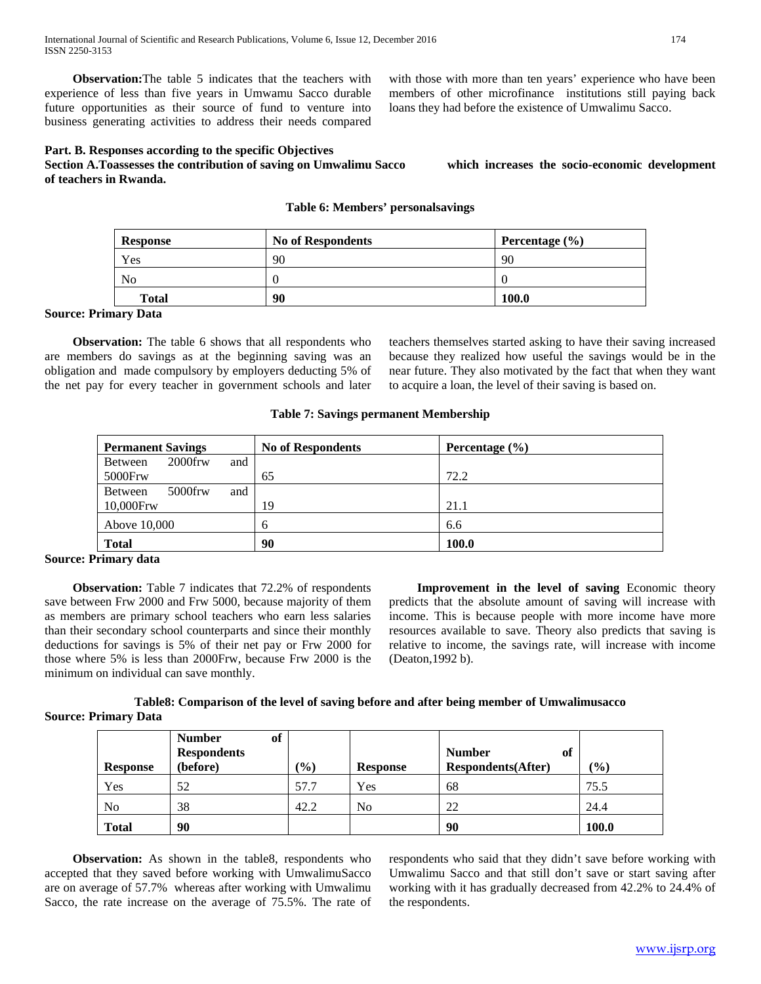**Observation:**The table 5 indicates that the teachers with experience of less than five years in Umwamu Sacco durable future opportunities as their source of fund to venture into business generating activities to address their needs compared

**Part. B. Responses according to the specific Objectives**

**Section A.Toassesses the contribution of saving on Umwalimu Sacco which increases the socio-economic development of teachers in Rwanda.**

with those with more than ten years' experience who have been members of other microfinance institutions still paying back loans they had before the existence of Umwalimu Sacco.

## **Table 6: Members' personalsavings**

| <b>Response</b> | <b>No of Respondents</b> | Percentage $(\% )$ |
|-----------------|--------------------------|--------------------|
| Yes             | 90                       | 90                 |
| No              |                          |                    |
| <b>Total</b>    | 90                       | 100.0              |

#### **Source: Primary Data**

 **Observation:** The table 6 shows that all respondents who are members do savings as at the beginning saving was an obligation and made compulsory by employers deducting 5% of the net pay for every teacher in government schools and later teachers themselves started asking to have their saving increased because they realized how useful the savings would be in the near future. They also motivated by the fact that when they want to acquire a loan, the level of their saving is based on.

#### **Table 7: Savings permanent Membership**

| <b>Permanent Savings</b>     | <b>No of Respondents</b> | Percentage $(\% )$ |
|------------------------------|--------------------------|--------------------|
| $2000$ frw<br>and<br>Between |                          |                    |
| 5000Frw                      | 65                       | 72.2               |
| $5000$ frw<br>Between<br>and |                          |                    |
| 10,000Frw                    | 19                       | 21.1               |
| Above 10,000                 | 6                        | 6.6                |
| <b>Total</b>                 | 90                       | 100.0              |

## **Source: Primary data**

 **Observation:** Table 7 indicates that 72.2% of respondents save between Frw 2000 and Frw 5000, because majority of them as members are primary school teachers who earn less salaries than their secondary school counterparts and since their monthly deductions for savings is 5% of their net pay or Frw 2000 for those where 5% is less than 2000Frw, because Frw 2000 is the minimum on individual can save monthly.

Improvement in the level of saving Economic theory predicts that the absolute amount of saving will increase with income. This is because people with more income have more resources available to save. Theory also predicts that saving is relative to income, the savings rate, will increase with income (Deaton,1992 b).

# **Table8: Comparison of the level of saving before and after being member of Umwalimusacco Source: Primary Data**

| <b>Response</b> | of<br><b>Number</b><br><b>Respondents</b><br>(before) | $\frac{1}{2}$ | <b>Response</b> | <b>Number</b><br>of<br><b>Respondents</b> (After) | $\frac{1}{2}$ (0) |
|-----------------|-------------------------------------------------------|---------------|-----------------|---------------------------------------------------|-------------------|
| Yes             | 52                                                    | 57.7          | Yes             | 68                                                | 75.5              |
| N <sub>0</sub>  | 38                                                    | 42.2          | No              | 22                                                | 24.4              |
| <b>Total</b>    | 90                                                    |               |                 | 90                                                | 100.0             |

**Observation:** As shown in the table8, respondents who accepted that they saved before working with UmwalimuSacco are on average of 57.7% whereas after working with Umwalimu Sacco, the rate increase on the average of 75.5%. The rate of respondents who said that they didn't save before working with Umwalimu Sacco and that still don't save or start saving after working with it has gradually decreased from 42.2% to 24.4% of the respondents.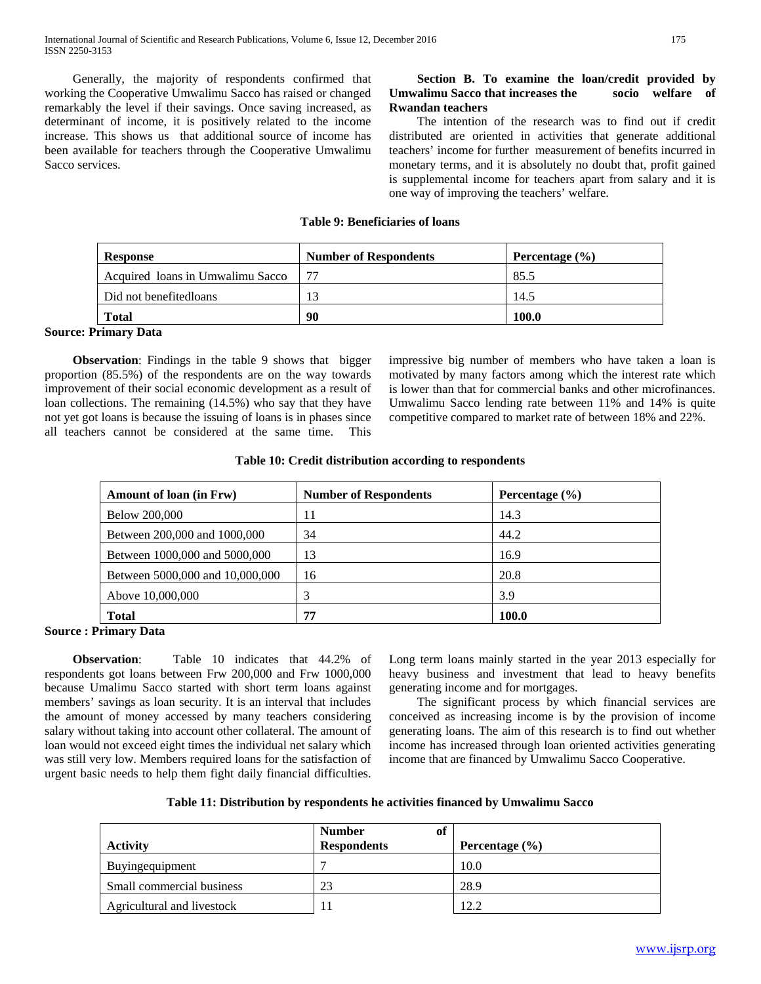Generally, the majority of respondents confirmed that working the Cooperative Umwalimu Sacco has raised or changed remarkably the level if their savings. Once saving increased, as determinant of income, it is positively related to the income increase. This shows us that additional source of income has been available for teachers through the Cooperative Umwalimu Sacco services.

# **Section B. To examine the loan/credit provided by Umwalimu Sacco that increases the socio welfare of Rwandan teachers**

 The intention of the research was to find out if credit distributed are oriented in activities that generate additional teachers' income for further measurement of benefits incurred in monetary terms, and it is absolutely no doubt that, profit gained is supplemental income for teachers apart from salary and it is one way of improving the teachers' welfare.

#### **Table 9: Beneficiaries of loans**

| <b>Response</b>                  | <b>Number of Respondents</b> | Percentage $(\% )$ |
|----------------------------------|------------------------------|--------------------|
| Acquired loans in Umwalimu Sacco |                              | 85.5               |
| Did not benefited loans          |                              | 14.5               |
| <b>Total</b>                     | 90                           | 100.0              |

## **Source: Primary Data**

**Observation**: Findings in the table 9 shows that bigger proportion (85.5%) of the respondents are on the way towards improvement of their social economic development as a result of loan collections. The remaining (14.5%) who say that they have not yet got loans is because the issuing of loans is in phases since all teachers cannot be considered at the same time. This impressive big number of members who have taken a loan is motivated by many factors among which the interest rate which is lower than that for commercial banks and other microfinances. Umwalimu Sacco lending rate between 11% and 14% is quite competitive compared to market rate of between 18% and 22%.

# **Table 10: Credit distribution according to respondents**

| Amount of loan (in Frw)         | <b>Number of Respondents</b> | Percentage $(\% )$ |
|---------------------------------|------------------------------|--------------------|
| Below 200,000                   | 11                           | 14.3               |
| Between 200,000 and 1000,000    | 34                           | 44.2               |
| Between 1000,000 and 5000,000   | 13                           | 16.9               |
| Between 5000,000 and 10,000,000 | 16                           | 20.8               |
| Above 10,000,000                |                              | 3.9                |
| <b>Total</b>                    | 77                           | 100.0              |

## **Source : Primary Data**

 **Observation**: Table 10 indicates that 44.2% of respondents got loans between Frw 200,000 and Frw 1000,000 because Umalimu Sacco started with short term loans against members' savings as loan security. It is an interval that includes the amount of money accessed by many teachers considering salary without taking into account other collateral. The amount of loan would not exceed eight times the individual net salary which was still very low. Members required loans for the satisfaction of urgent basic needs to help them fight daily financial difficulties.

Long term loans mainly started in the year 2013 especially for heavy business and investment that lead to heavy benefits generating income and for mortgages.

 The significant process by which financial services are conceived as increasing income is by the provision of income generating loans. The aim of this research is to find out whether income has increased through loan oriented activities generating income that are financed by Umwalimu Sacco Cooperative.

| <b>Activity</b>            | <b>Number</b><br>of<br><b>Respondents</b> | Percentage $(\% )$ |
|----------------------------|-------------------------------------------|--------------------|
| Buying equipment           |                                           | 10.0               |
| Small commercial business  | 23                                        | 28.9               |
| Agricultural and livestock | 11                                        | 12.2               |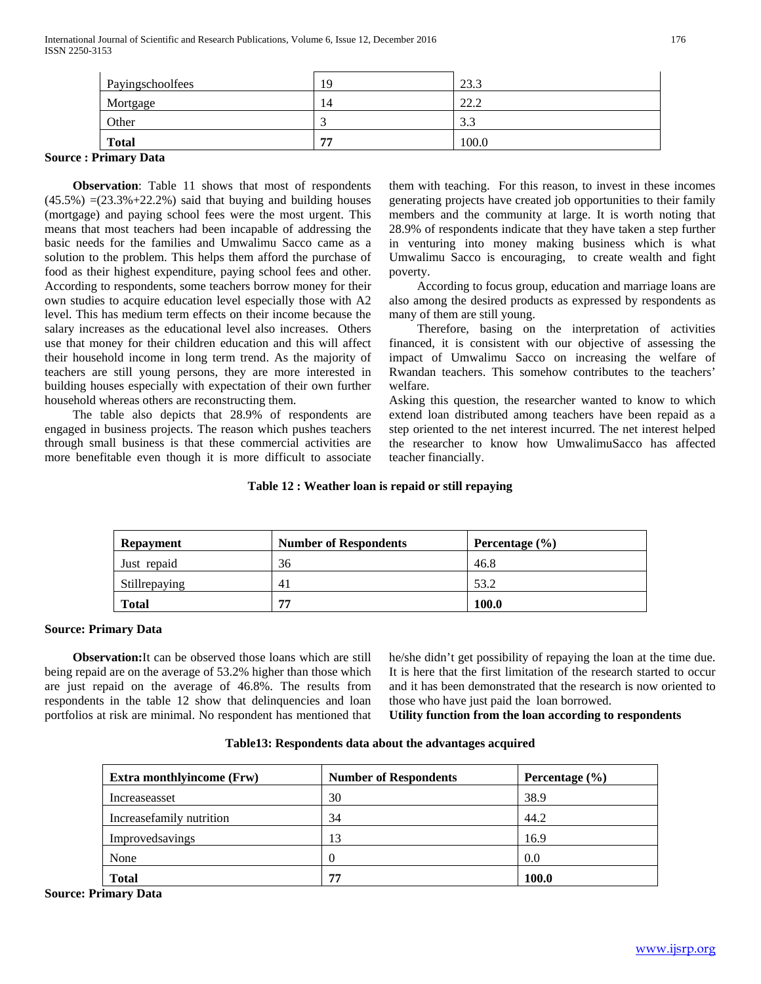| Payingschoolfees | 19 | 23.3                   |
|------------------|----|------------------------|
| Mortgage         | 14 | ററ റ<br>44.L           |
| Other            |    | 3 <sub>3</sub><br>ر. ر |
| <b>Total</b>     | 77 | 100.0                  |

#### **Source : Primary Data**

 **Observation**: Table 11 shows that most of respondents  $(45.5\%) = (23.3\% + 22.2\%)$  said that buying and building houses (mortgage) and paying school fees were the most urgent. This means that most teachers had been incapable of addressing the basic needs for the families and Umwalimu Sacco came as a solution to the problem. This helps them afford the purchase of food as their highest expenditure, paying school fees and other. According to respondents, some teachers borrow money for their own studies to acquire education level especially those with A2 level. This has medium term effects on their income because the salary increases as the educational level also increases. Others use that money for their children education and this will affect their household income in long term trend. As the majority of teachers are still young persons, they are more interested in building houses especially with expectation of their own further household whereas others are reconstructing them.

 The table also depicts that 28.9% of respondents are engaged in business projects. The reason which pushes teachers through small business is that these commercial activities are more benefitable even though it is more difficult to associate them with teaching. For this reason, to invest in these incomes generating projects have created job opportunities to their family members and the community at large. It is worth noting that 28.9% of respondents indicate that they have taken a step further in venturing into money making business which is what Umwalimu Sacco is encouraging, to create wealth and fight poverty.

 According to focus group, education and marriage loans are also among the desired products as expressed by respondents as many of them are still young.

 Therefore, basing on the interpretation of activities financed, it is consistent with our objective of assessing the impact of Umwalimu Sacco on increasing the welfare of Rwandan teachers. This somehow contributes to the teachers' welfare.

Asking this question, the researcher wanted to know to which extend loan distributed among teachers have been repaid as a step oriented to the net interest incurred. The net interest helped the researcher to know how UmwalimuSacco has affected teacher financially.

# **Table 12 : Weather loan is repaid or still repaying**

| <b>Repayment</b> | <b>Number of Respondents</b> | Percentage $(\% )$ |
|------------------|------------------------------|--------------------|
| Just repaid      | 36                           | 46.8               |
| Stillrepaying    | 41                           | 53.2               |
| Total            | 77                           | 100.0              |

## **Source: Primary Data**

 **Observation:**It can be observed those loans which are still being repaid are on the average of 53.2% higher than those which are just repaid on the average of 46.8%. The results from respondents in the table 12 show that delinquencies and loan portfolios at risk are minimal. No respondent has mentioned that he/she didn't get possibility of repaying the loan at the time due. It is here that the first limitation of the research started to occur and it has been demonstrated that the research is now oriented to those who have just paid the loan borrowed.

**Utility function from the loan according to respondents**

| <b>Extra monthlyincome (Frw)</b> | <b>Number of Respondents</b> | Percentage $(\% )$ |  |
|----------------------------------|------------------------------|--------------------|--|
| Increaseasset                    | 30                           | 38.9               |  |
| Increasefamily nutrition         | 34                           | 44.2               |  |
| Improvedsavings                  | 13                           | 16.9               |  |
| None                             |                              | 0.0                |  |
| <b>Total</b>                     | 77                           | 100.0              |  |

**Table13: Respondents data about the advantages acquired**

**Source: Primary Data**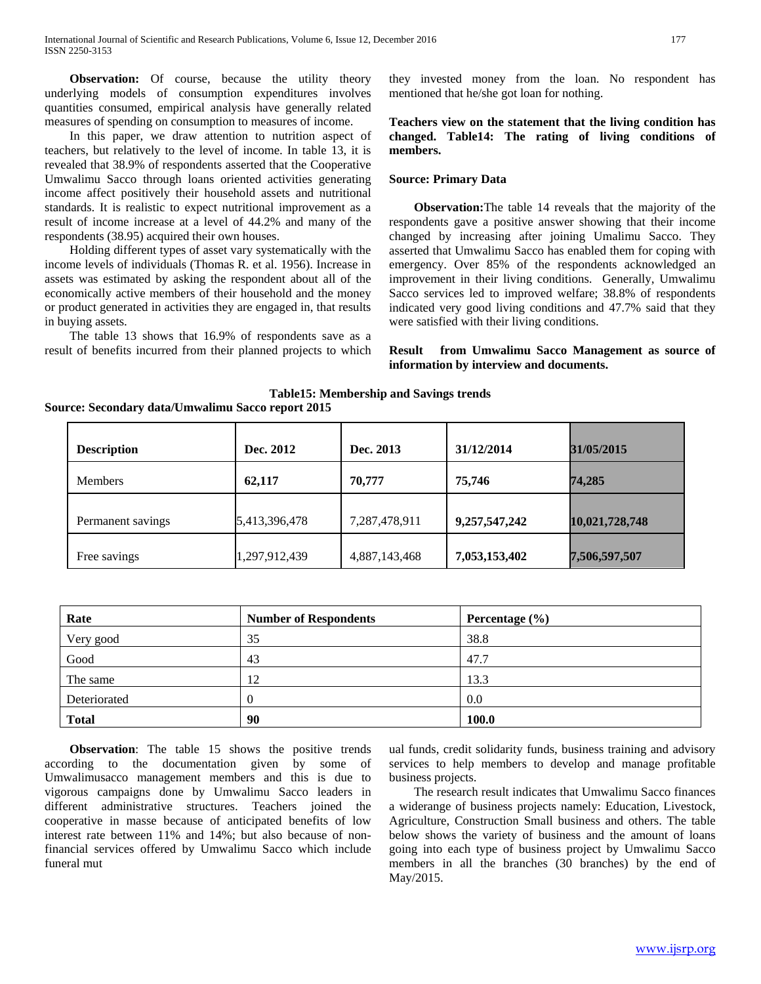**Observation:** Of course, because the utility theory underlying models of consumption expenditures involves quantities consumed, empirical analysis have generally related measures of spending on consumption to measures of income.

In this paper, we draw attention to nutrition aspect of teachers, but relatively to the level of income. In table 13, it is revealed that 38.9% of respondents asserted that the Cooperative Umwalimu Sacco through loans oriented activities generating income affect positively their household assets and nutritional standards. It is realistic to expect nutritional improvement as a result of income increase at a level of 44.2% and many of the respondents (38.95) acquired their own houses.

Holding different types of asset vary systematically with the income levels of individuals (Thomas R. et al. 1956). Increase in assets was estimated by asking the respondent about all of the economically active members of their household and the money or product generated in activities they are engaged in, that results in buying assets.

The table 13 shows that 16.9% of respondents save as a result of benefits incurred from their planned projects to which they invested money from the loan. No respondent has mentioned that he/she got loan for nothing.

# **Teachers view on the statement that the living condition has changed. Table14: The rating of living conditions of members.**

#### **Source: Primary Data**

 **Observation:**The table 14 reveals that the majority of the respondents gave a positive answer showing that their income changed by increasing after joining Umalimu Sacco. They asserted that Umwalimu Sacco has enabled them for coping with emergency. Over 85% of the respondents acknowledged an improvement in their living conditions. Generally, Umwalimu Sacco services led to improved welfare; 38.8% of respondents indicated very good living conditions and 47.7% said that they were satisfied with their living conditions.

## **Result from Umwalimu Sacco Management as source of information by interview and documents.**

**Table15: Membership and Savings trends Source: Secondary data/Umwalimu Sacco report 2015**

| <b>Description</b> | Dec. 2012     | Dec. 2013     | 31/12/2014    | 31/05/2015     |
|--------------------|---------------|---------------|---------------|----------------|
| <b>Members</b>     | 62,117        | 70,777        | 75.746        | 74,285         |
| Permanent savings  | 5,413,396,478 | 7,287,478,911 | 9,257,547,242 | 10,021,728,748 |
| Free savings       | 1,297,912,439 | 4,887,143,468 | 7,053,153,402 | 7,506,597,507  |

| Rate         | <b>Number of Respondents</b> | Percentage $(\% )$ |  |
|--------------|------------------------------|--------------------|--|
| Very good    | 35                           | 38.8               |  |
| Good         | 43                           | 47.7               |  |
| The same     | 12                           | 13.3               |  |
| Deteriorated |                              | 0.0                |  |
| <b>Total</b> | 90                           | <b>100.0</b>       |  |

 **Observation**: The table 15 shows the positive trends according to the documentation given by some of Umwalimusacco management members and this is due to vigorous campaigns done by Umwalimu Sacco leaders in different administrative structures. Teachers joined the cooperative in masse because of anticipated benefits of low interest rate between 11% and 14%; but also because of nonfinancial services offered by Umwalimu Sacco which include funeral mut

ual funds, credit solidarity funds, business training and advisory services to help members to develop and manage profitable business projects.

The research result indicates that Umwalimu Sacco finances a widerange of business projects namely: Education, Livestock, Agriculture, Construction Small business and others. The table below shows the variety of business and the amount of loans going into each type of business project by Umwalimu Sacco members in all the branches (30 branches) by the end of May/2015.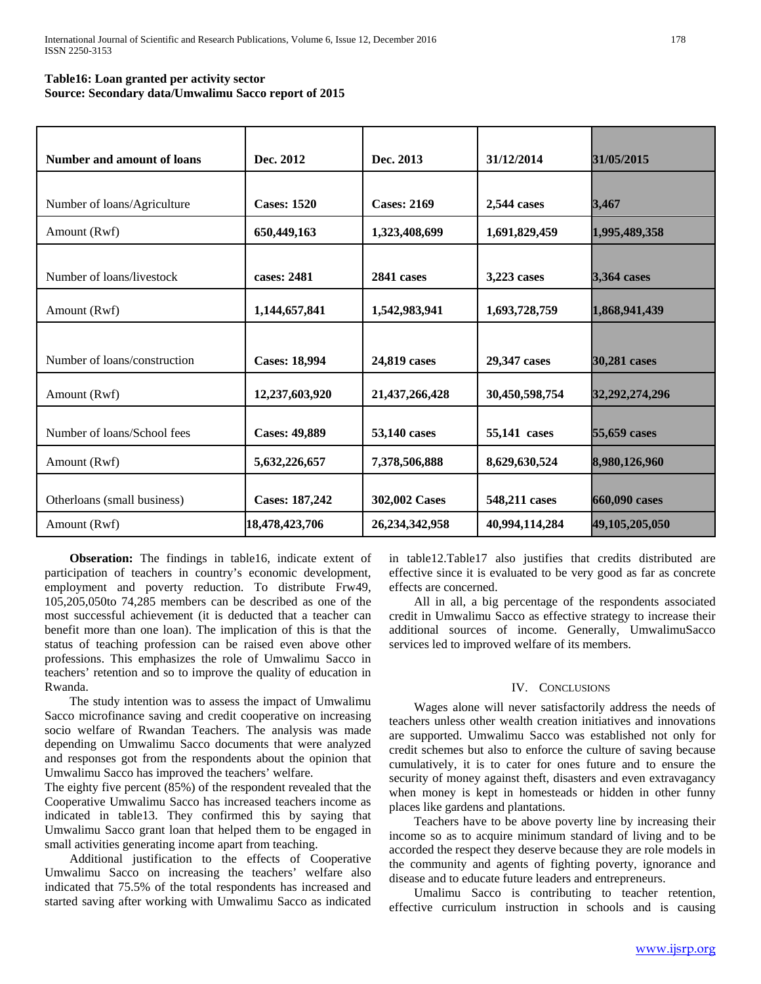# **Table16: Loan granted per activity sector Source: Secondary data/Umwalimu Sacco report of 2015**

| <b>Number and amount of loans</b> | Dec. 2012            | Dec. 2013          | 31/12/2014     | 31/05/2015     |
|-----------------------------------|----------------------|--------------------|----------------|----------------|
|                                   |                      |                    |                |                |
| Number of loans/Agriculture       | <b>Cases: 1520</b>   | <b>Cases: 2169</b> | 2,544 cases    | 3,467          |
| Amount (Rwf)                      | 650,449,163          | 1,323,408,699      | 1,691,829,459  | 1,995,489,358  |
|                                   |                      |                    |                |                |
| Number of loans/livestock         | cases: 2481          | 2841 cases         | 3,223 cases    | 3,364 cases    |
| Amount (Rwf)                      | 1,144,657,841        | 1,542,983,941      | 1,693,728,759  | 1,868,941,439  |
|                                   |                      |                    |                |                |
| Number of loans/construction      | <b>Cases: 18,994</b> | 24,819 cases       | 29,347 cases   | 30,281 cases   |
| Amount (Rwf)                      | 12,237,603,920       | 21,437,266,428     | 30,450,598,754 | 32,292,274,296 |
| Number of loans/School fees       | <b>Cases: 49,889</b> | 53,140 cases       | 55,141 cases   | 55,659 cases   |
| Amount (Rwf)                      | 5,632,226,657        | 7,378,506,888      | 8,629,630,524  | 8,980,126,960  |
| Otherloans (small business)       | Cases: 187,242       | 302,002 Cases      | 548,211 cases  | 660,090 cases  |
| Amount (Rwf)                      | 18,478,423,706       | 26,234,342,958     | 40,994,114,284 | 49,105,205,050 |

 **Obseration:** The findings in table16, indicate extent of participation of teachers in country's economic development, employment and poverty reduction. To distribute Frw49, 105,205,050to 74,285 members can be described as one of the most successful achievement (it is deducted that a teacher can benefit more than one loan). The implication of this is that the status of teaching profession can be raised even above other professions. This emphasizes the role of Umwalimu Sacco in teachers' retention and so to improve the quality of education in Rwanda.

The study intention was to assess the impact of Umwalimu Sacco microfinance saving and credit cooperative on increasing socio welfare of Rwandan Teachers. The analysis was made depending on Umwalimu Sacco documents that were analyzed and responses got from the respondents about the opinion that Umwalimu Sacco has improved the teachers' welfare.

The eighty five percent (85%) of the respondent revealed that the Cooperative Umwalimu Sacco has increased teachers income as indicated in table13. They confirmed this by saying that Umwalimu Sacco grant loan that helped them to be engaged in small activities generating income apart from teaching.

Additional justification to the effects of Cooperative Umwalimu Sacco on increasing the teachers' welfare also indicated that 75.5% of the total respondents has increased and started saving after working with Umwalimu Sacco as indicated

in table12.Table17 also justifies that credits distributed are effective since it is evaluated to be very good as far as concrete effects are concerned.

All in all, a big percentage of the respondents associated credit in Umwalimu Sacco as effective strategy to increase their additional sources of income. Generally, UmwalimuSacco services led to improved welfare of its members.

#### IV. CONCLUSIONS

Wages alone will never satisfactorily address the needs of teachers unless other wealth creation initiatives and innovations are supported. Umwalimu Sacco was established not only for credit schemes but also to enforce the culture of saving because cumulatively, it is to cater for ones future and to ensure the security of money against theft, disasters and even extravagancy when money is kept in homesteads or hidden in other funny places like gardens and plantations.

Teachers have to be above poverty line by increasing their income so as to acquire minimum standard of living and to be accorded the respect they deserve because they are role models in the community and agents of fighting poverty, ignorance and disease and to educate future leaders and entrepreneurs.

Umalimu Sacco is contributing to teacher retention, effective curriculum instruction in schools and is causing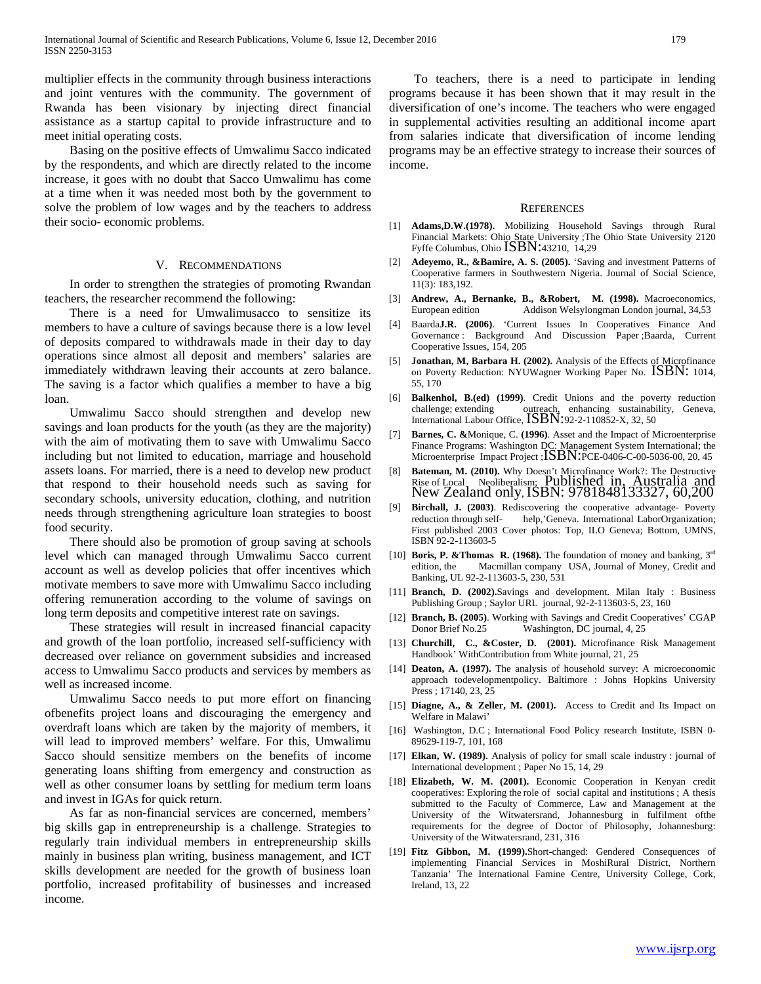multiplier effects in the community through business interactions and joint ventures with the community. The government of Rwanda has been visionary by injecting direct financial assistance as a startup capital to provide infrastructure and to meet initial operating costs.

Basing on the positive effects of Umwalimu Sacco indicated by the respondents, and which are directly related to the income increase, it goes with no doubt that Sacco Umwalimu has come at a time when it was needed most both by the government to solve the problem of low wages and by the teachers to address their socio- economic problems.

#### V. RECOMMENDATIONS

In order to strengthen the strategies of promoting Rwandan teachers, the researcher recommend the following:

There is a need for Umwalimusacco to sensitize its members to have a culture of savings because there is a low level of deposits compared to withdrawals made in their day to day operations since almost all deposit and members' salaries are immediately withdrawn leaving their accounts at zero balance. The saving is a factor which qualifies a member to have a big loan.

Umwalimu Sacco should strengthen and develop new savings and loan products for the youth (as they are the majority) with the aim of motivating them to save with Umwalimu Sacco including but not limited to education, marriage and household assets loans. For married, there is a need to develop new product that respond to their household needs such as saving for secondary schools, university education, clothing, and nutrition needs through strengthening agriculture loan strategies to boost food security.

There should also be promotion of group saving at schools level which can managed through Umwalimu Sacco current account as well as develop policies that offer incentives which motivate members to save more with Umwalimu Sacco including offering remuneration according to the volume of savings on long term deposits and competitive interest rate on savings.

These strategies will result in increased financial capacity and growth of the loan portfolio, increased self-sufficiency with decreased over reliance on government subsidies and increased access to Umwalimu Sacco products and services by members as well as increased income.

Umwalimu Sacco needs to put more effort on financing ofbenefits project loans and discouraging the emergency and overdraft loans which are taken by the majority of members, it will lead to improved members' welfare. For this, Umwalimu Sacco should sensitize members on the benefits of income generating loans shifting from emergency and construction as well as other consumer loans by settling for medium term loans and invest in IGAs for quick return.

As far as non-financial services are concerned, members' big skills gap in entrepreneurship is a challenge. Strategies to regularly train individual members in entrepreneurship skills mainly in business plan writing, business management, and ICT skills development are needed for the growth of business loan portfolio, increased profitability of businesses and increased income.

To teachers, there is a need to participate in lending programs because it has been shown that it may result in the diversification of one's income. The teachers who were engaged in supplemental activities resulting an additional income apart from salaries indicate that diversification of income lending programs may be an effective strategy to increase their sources of income.

#### **REFERENCES**

- [1] **Adams,D.W.(1978).** Mobilizing Household Savings through Rural Financial Markets: Ohio State University ;The Ohio State University 2120 Fyffe Columbus, Ohio ISBN:43210, 14,29
- [2] **Adeyemo, R., &Bamire, A. S. (2005).** 'Saving and investment Patterns of Cooperative farmers in Southwestern Nigeria. Journal of Social Science, 11(3): 183,192.
- [3] **Andrew, A., Bernanke, B., &Robert, M. (1998).** Macroeconomics, European edition Addison Welsylongman London journal, 34,53
- [4] Baarda**J.R. (2006)**. 'Current Issues In Cooperatives Finance And Governance : Background And Discussion Paper ;Baarda, Current Cooperative Issues, 154, 205
- [5] **Jonathan, M, Barbara H. (2002).** Analysis of the Effects of Microfinance on Poverty Reduction: NYUWagner Working Paper No. ISBN: 1014, 55, 170
- [6] **Balkenhol, B.(ed) (1999)**. Credit Unions and the poverty reduction challenge; extending outreach, enhancing sustainability, Geneva, International Labour Office,  $\text{ISBN}:92-2-110852-X, 32, 50$
- [7] **Barnes, C. &**Monique, C. **(1996)**. Asset and the Impact of Microenterprise Finance Programs: Washington DC: Management System International; the Microenterprise Impact Project ; ISBN:PCE-0406-C-00-5036-00, 20, 45
- [8] **Bateman, M. (2010).** Why Doesn't Microfinance Work?: The Destructive Rise of Local Neoliberalism; Published in, Australia and New Zealand only, ISBN: 9781848133327, 60,200
- [9] **Birchall, J. (2003)**. Rediscovering the cooperative advantage- Poverty help,'Geneva. International LaborOrganization; First published 2003 Cover photos: Top, ILO Geneva; Bottom, UMNS, ISBN 92-2-113603-5
- [10] **Boris, P. &Thomas R. (1968).** The foundation of money and banking,  $3^{rd}$ edition, the Macmillan company USA, Journal of Money, Credit and Banking, UL 92-2-113603-5, 230, 531
- [11] **Branch, D. (2002).**Savings and development. Milan Italy : Business Publishing Group ; Saylor URL journal, 92-2-113603-5, 23, 160
- [12] **Branch, B. (2005)**. Working with Savings and Credit Cooperatives' CGAP Donor Brief No.25 Washington, DC journal, 4, 25
- [13] **Churchill, C., &Coster, D.** (2001). Microfinance Risk Management Handbook' WithContribution from White journal, 21, 25
- [14] **Deaton, A. (1997).** The analysis of household survey: A microeconomic approach todevelopmentpolicy. Baltimore : Johns Hopkins University Press ; 17140, 23, 25
- [15] **Diagne, A., & Zeller, M. (2001).** Access to Credit and Its Impact on Welfare in Malawi'
- [16] Washington, D.C ; International Food Policy research Institute, ISBN 0-89629-119-7, 101, 168
- [17] **Elkan, W. (1989).** Analysis of policy for small scale industry : journal of International development ; Paper No 15, 14, 29
- [18] **Elizabeth, W. M. (2001).** Economic Cooperation in Kenyan credit cooperatives: Exploring the role of social capital and institutions ; A thesis submitted to the Faculty of Commerce, Law and Management at the University of the Witwatersrand, Johannesburg in fulfilment ofthe requirements for the degree of Doctor of Philosophy, Johannesburg: University of the Witwatersrand, 231, 316
- [19] **Fitz Gibbon, M. (1999).**Short-changed: Gendered Consequences of implementing Financial Services in MoshiRural District, Northern Tanzania' The International Famine Centre, University College, Cork, Ireland, 13, 22